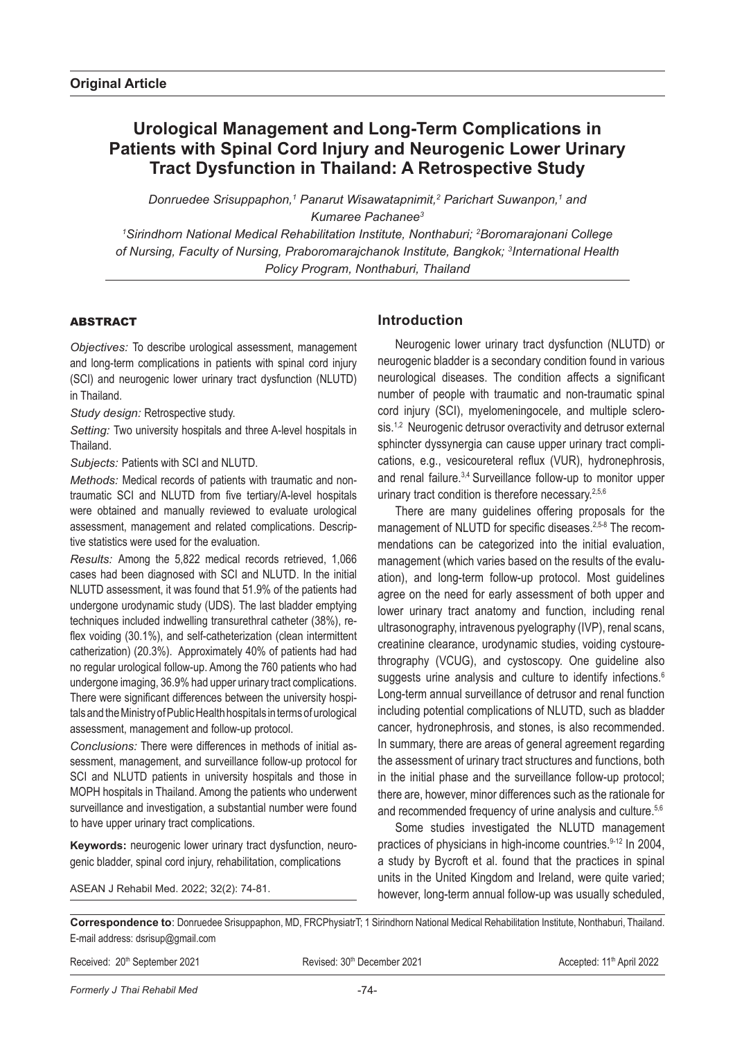# **Urological Management and Long-Term Complications in Patients with Spinal Cord Injury and Neurogenic Lower Urinary Tract Dysfunction in Thailand: A Retrospective Study**

Donruedee Srisuppaphon,<sup>1</sup> Panarut Wisawatapnimit,<sup>2</sup> Parichart Suwanpon,<sup>1</sup> and *Kumaree Pachanee3*

*1 Sirindhorn National Medical Rehabilitation Institute, Nonthaburi; 2 Boromarajonani College of Nursing, Faculty of Nursing, Praboromarajchanok Institute, Bangkok; 3 International Health Policy Program, Nonthaburi, Thailand*

# ABSTRACT

*Objectives:* To describe urological assessment, management and long-term complications in patients with spinal cord injury (SCI) and neurogenic lower urinary tract dysfunction (NLUTD) in Thailand.

*Study design:* Retrospective study.

*Setting:* Two university hospitals and three A-level hospitals in Thailand.

*Subjects:* Patients with SCI and NLUTD.

*Methods:* Medical records of patients with traumatic and nontraumatic SCI and NLUTD from five tertiary/A-level hospitals were obtained and manually reviewed to evaluate urological assessment, management and related complications. Descriptive statistics were used for the evaluation.

*Results:* Among the 5,822 medical records retrieved, 1,066 cases had been diagnosed with SCI and NLUTD. In the initial NLUTD assessment, it was found that 51.9% of the patients had undergone urodynamic study (UDS). The last bladder emptying techniques included indwelling transurethral catheter (38%), reflex voiding (30.1%), and self-catheterization (clean intermittent catherization) (20.3%). Approximately 40% of patients had had no regular urological follow-up. Among the 760 patients who had undergone imaging, 36.9% had upper urinary tract complications. There were significant differences between the university hospitals and the Ministry of Public Health hospitals in terms of urological assessment, management and follow-up protocol.

*Conclusions:* There were differences in methods of initial assessment, management, and surveillance follow-up protocol for SCI and NLUTD patients in university hospitals and those in MOPH hospitals in Thailand. Among the patients who underwent surveillance and investigation, a substantial number were found to have upper urinary tract complications.

**Keywords:** neurogenic lower urinary tract dysfunction, neurogenic bladder, spinal cord injury, rehabilitation, complications

ASEAN J Rehabil Med. 2022; 32(2): 74-81.

# **Introduction**

Neurogenic lower urinary tract dysfunction (NLUTD) or neurogenic bladder is a secondary condition found in various neurological diseases. The condition affects a significant number of people with traumatic and non-traumatic spinal cord injury (SCI), myelomeningocele, and multiple sclerosis.<sup>1,2</sup> Neurogenic detrusor overactivity and detrusor external sphincter dyssynergia can cause upper urinary tract complications, e.g., vesicoureteral reflux (VUR), hydronephrosis, and renal failure.3,4 Surveillance follow-up to monitor upper urinary tract condition is therefore necessary.<sup>2,5,6</sup>

There are many guidelines offering proposals for the management of NLUTD for specific diseases.<sup>2,5-8</sup> The recommendations can be categorized into the initial evaluation, management (which varies based on the results of the evaluation), and long-term follow-up protocol. Most guidelines agree on the need for early assessment of both upper and lower urinary tract anatomy and function, including renal ultrasonography, intravenous pyelography (IVP), renal scans, creatinine clearance, urodynamic studies, voiding cystourethrography (VCUG), and cystoscopy. One guideline also suggests urine analysis and culture to identify infections.<sup>6</sup> Long-term annual surveillance of detrusor and renal function including potential complications of NLUTD, such as bladder cancer, hydronephrosis, and stones, is also recommended. In summary, there are areas of general agreement regarding the assessment of urinary tract structures and functions, both in the initial phase and the surveillance follow-up protocol; there are, however, minor differences such as the rationale for and recommended frequency of urine analysis and culture.<sup>5,6</sup>

Some studies investigated the NLUTD management practices of physicians in high-income countries.9-12 In 2004, a study by Bycroft et al. found that the practices in spinal units in the United Kingdom and Ireland, were quite varied; however, long-term annual follow-up was usually scheduled,

**Correspondence to**: Donruedee Srisuppaphon, MD, FRCPhysiatrT; 1 Sirindhorn National Medical Rehabilitation Institute, Nonthaburi, Thailand. E-mail address: dsrisup@gmail.com

|  | Received: 20 <sup>th</sup> September 2021 |  |
|--|-------------------------------------------|--|
|--|-------------------------------------------|--|

Revised: 30<sup>th</sup> December 2021 **Revised: 11<sup>th</sup> April 2022**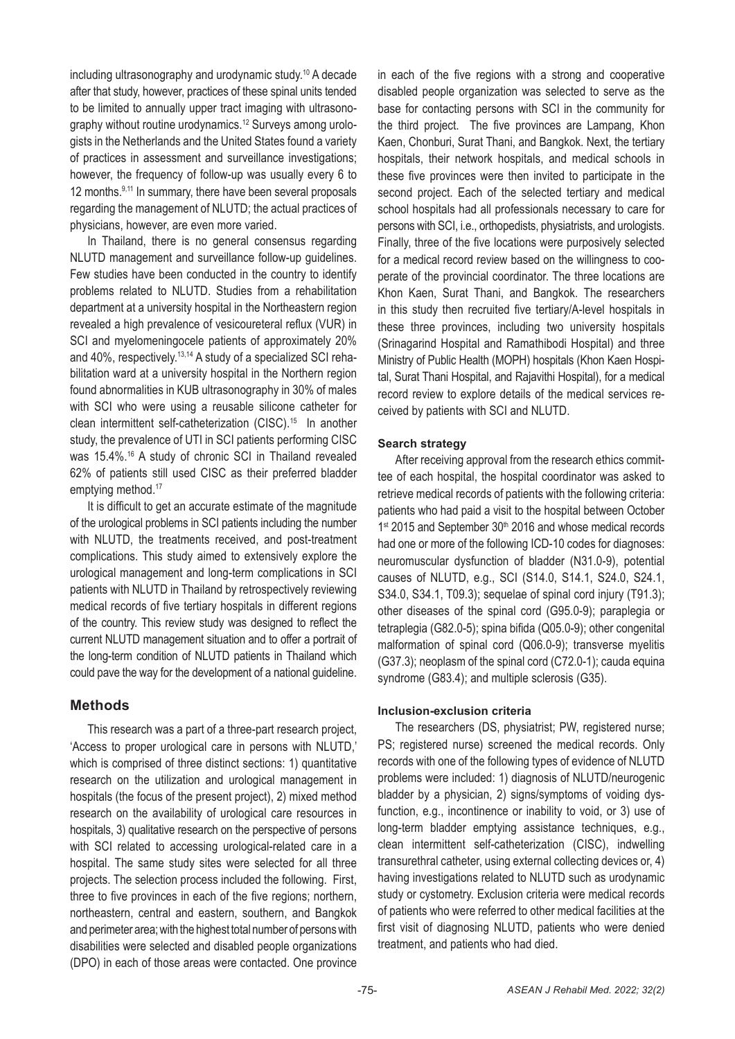including ultrasonography and urodynamic study.10 A decade after that study, however, practices of these spinal units tended to be limited to annually upper tract imaging with ultrasonography without routine urodynamics.12 Surveys among urologists in the Netherlands and the United States found a variety of practices in assessment and surveillance investigations; however, the frequency of follow-up was usually every 6 to 12 months.<sup>9,11</sup> In summary, there have been several proposals regarding the management of NLUTD; the actual practices of physicians, however, are even more varied.

In Thailand, there is no general consensus regarding NLUTD management and surveillance follow-up guidelines. Few studies have been conducted in the country to identify problems related to NLUTD. Studies from a rehabilitation department at a university hospital in the Northeastern region revealed a high prevalence of vesicoureteral reflux (VUR) in SCI and myelomeningocele patients of approximately 20% and 40%, respectively.<sup>13,14</sup> A study of a specialized SCI rehabilitation ward at a university hospital in the Northern region found abnormalities in KUB ultrasonography in 30% of males with SCI who were using a reusable silicone catheter for clean intermittent self-catheterization (CISC).15 In another study, the prevalence of UTI in SCI patients performing CISC was 15.4%.16 A study of chronic SCI in Thailand revealed 62% of patients still used CISC as their preferred bladder emptying method.<sup>17</sup>

It is difficult to get an accurate estimate of the magnitude of the urological problems in SCI patients including the number with NLUTD, the treatments received, and post-treatment complications. This study aimed to extensively explore the urological management and long-term complications in SCI patients with NLUTD in Thailand by retrospectively reviewing medical records of five tertiary hospitals in different regions of the country. This review study was designed to reflect the current NLUTD management situation and to offer a portrait of the long-term condition of NLUTD patients in Thailand which could pave the way for the development of a national guideline.

# **Methods**

This research was a part of a three-part research project, 'Access to proper urological care in persons with NLUTD,' which is comprised of three distinct sections: 1) quantitative research on the utilization and urological management in hospitals (the focus of the present project), 2) mixed method research on the availability of urological care resources in hospitals, 3) qualitative research on the perspective of persons with SCI related to accessing urological-related care in a hospital. The same study sites were selected for all three projects. The selection process included the following. First, three to five provinces in each of the five regions; northern, northeastern, central and eastern, southern, and Bangkok and perimeter area; with the highest total number of persons with disabilities were selected and disabled people organizations (DPO) in each of those areas were contacted. One province in each of the five regions with a strong and cooperative disabled people organization was selected to serve as the base for contacting persons with SCI in the community for the third project. The five provinces are Lampang, Khon Kaen, Chonburi, Surat Thani, and Bangkok. Next, the tertiary hospitals, their network hospitals, and medical schools in these five provinces were then invited to participate in the second project. Each of the selected tertiary and medical school hospitals had all professionals necessary to care for persons with SCI, i.e., orthopedists, physiatrists, and urologists. Finally, three of the five locations were purposively selected for a medical record review based on the willingness to cooperate of the provincial coordinator. The three locations are Khon Kaen, Surat Thani, and Bangkok. The researchers in this study then recruited five tertiary/A-level hospitals in these three provinces, including two university hospitals (Srinagarind Hospital and Ramathibodi Hospital) and three Ministry of Public Health (MOPH) hospitals (Khon Kaen Hospital, Surat Thani Hospital, and Rajavithi Hospital), for a medical record review to explore details of the medical services received by patients with SCI and NLUTD.

# **Search strategy**

After receiving approval from the research ethics committee of each hospital, the hospital coordinator was asked to retrieve medical records of patients with the following criteria: patients who had paid a visit to the hospital between October 1<sup>st</sup> 2015 and September 30<sup>th</sup> 2016 and whose medical records had one or more of the following ICD-10 codes for diagnoses: neuromuscular dysfunction of bladder (N31.0-9), potential causes of NLUTD, e.g., SCI (S14.0, S14.1, S24.0, S24.1, S34.0, S34.1, T09.3); sequelae of spinal cord injury (T91.3); other diseases of the spinal cord (G95.0-9); paraplegia or tetraplegia (G82.0-5); spina bifida (Q05.0-9); other congenital malformation of spinal cord (Q06.0-9); transverse myelitis (G37.3); neoplasm of the spinal cord (C72.0-1); cauda equina syndrome (G83.4); and multiple sclerosis (G35).

### **Inclusion-exclusion criteria**

The researchers (DS, physiatrist; PW, registered nurse; PS; registered nurse) screened the medical records. Only records with one of the following types of evidence of NLUTD problems were included: 1) diagnosis of NLUTD/neurogenic bladder by a physician, 2) signs/symptoms of voiding dysfunction, e.g., incontinence or inability to void, or 3) use of long-term bladder emptying assistance techniques, e.g., clean intermittent self-catheterization (CISC), indwelling transurethral catheter, using external collecting devices or, 4) having investigations related to NLUTD such as urodynamic study or cystometry. Exclusion criteria were medical records of patients who were referred to other medical facilities at the first visit of diagnosing NLUTD, patients who were denied treatment, and patients who had died.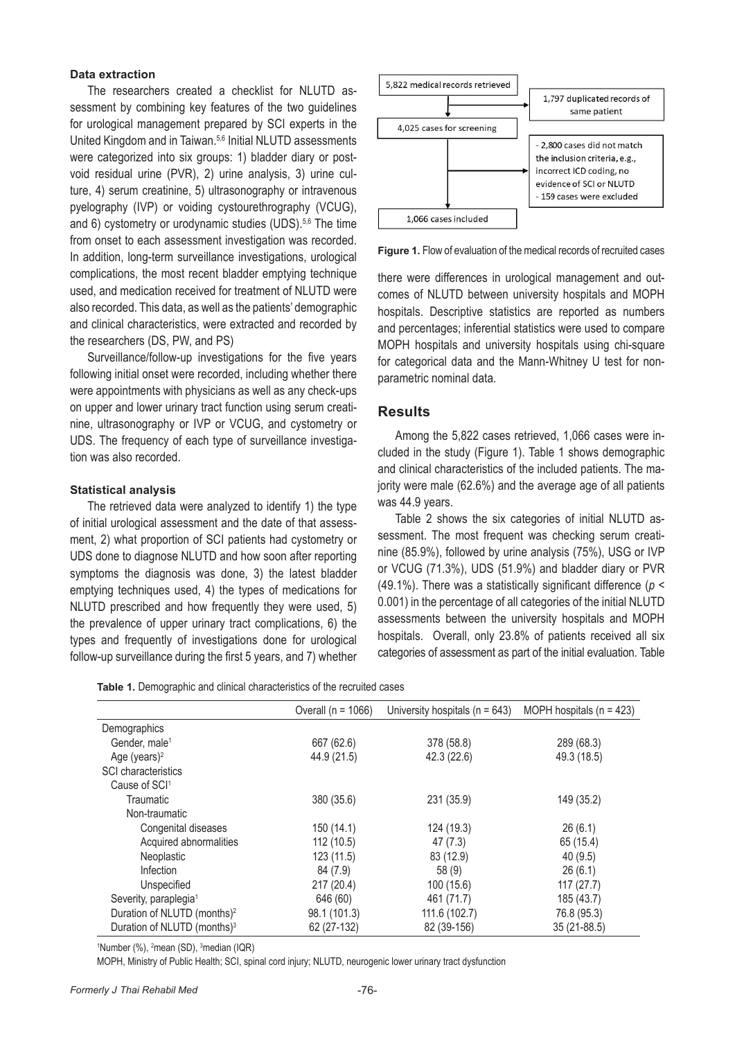### **Data extraction**

The researchers created a checklist for NLUTD assessment by combining key features of the two guidelines for urological management prepared by SCI experts in the United Kingdom and in Taiwan.<sup>5,6</sup> Initial NLUTD assessments were categorized into six groups: 1) bladder diary or postvoid residual urine (PVR), 2) urine analysis, 3) urine culture, 4) serum creatinine, 5) ultrasonography or intravenous pyelography (IVP) or voiding cystourethrography (VCUG), and 6) cystometry or urodynamic studies (UDS).<sup>5,6</sup> The time from onset to each assessment investigation was recorded. In addition, long-term surveillance investigations, urological complications, the most recent bladder emptying technique used, and medication received for treatment of NLUTD were also recorded. This data, as well as the patients' demographic and clinical characteristics, were extracted and recorded by a the researchers (DS, PW, and PS)

Surveillance/follow-up investigations for the five years were appointments with physicians as well as any check-ups on upper and lower urinary tract function using serum creatinine, ultrasonography or IVP or VCUG, and cystometry or UDS. The frequency of each type of surveillance investigation was also recorded.  $176 \text{ cm}^2$  checking serves and  $\mu$ 

#### **Statistical analysis**

The retrieved data were analyzed to identify 1) the type of initial urological assessment and the date of that assessment, 2) what proportion of SCI patients had cystometry or UDS done to diagnose NLUTD and how soon after reporting symptoms the diagnosis was done, 3) the latest bladder emptying techniques used, 4) the types of medications for NLUTD prescribed and how frequently they were used, 5) the prevalence of upper urinary tract complications,  $6$ ) the  $5<sup>3</sup>$ types and frequently of investigations done for urological follow-up surveillance during the first 5 years, and 7) whether



**Figure 1.** Flow of evaluation of the medical records of recruited cases

following initial onset were recorded, including whether there a stategories data and the mann white y of itself home der emptying technique there were differences in urological management and outcomes of NLUTD between university hospitals and MOPH hospitals. Descriptive statistics are reported as numbers and percentages; inferential statistics were used to compare MOPH hospitals and university hospitals using chi-square for categorical data and the Mann-Whitney U test for nonparametric nominal data.

### **Results**

OG, and cystometry or<br>f surveillance investiga- Among the 5,822 cases retrieved, 1,066 cases were included in the study (Figure 1). Table 1 shows demographic categories of all categories of the initial NLUTD assessments of the initial NLUTD assessments of the initial NLUTD assessments of the initial NLUTD assessments of and clinical characteristics of the included patients. The majority were male (62.6%) and the average age of all patients was 44.9 years.

the date of that assess-<br>Table 2 shows the six categories of initial NLUTD assessment. The most frequent was checking serum creatinone had by conneary or<br>now soon after reporting and inclusions, followed by urine analysis (75%), USG or IVP or VCUG (71.3%), UDS (51.9%) and bladder diary or PVR (49.1%). There was a statistically significant difference (*p* < 0.001) in the percentage of all categories of the initial NLUTD assessments between the university hospitals and MOPH hospitals. Overall, only 23.8% of patients received all six categories of assessment as part of the initial evaluation. Table

|  |  | Table 1. Demographic and clinical characteristics of the recruited cases |  |  |
|--|--|--------------------------------------------------------------------------|--|--|
|  |  |                                                                          |  |  |

|                                         | Overall ( $n = 1066$ ) | University hospitals ( $n = 643$ ) | MOPH hospitals ( $n = 423$ ) |
|-----------------------------------------|------------------------|------------------------------------|------------------------------|
|                                         |                        |                                    |                              |
| Demographics                            |                        |                                    |                              |
| Gender, male <sup>1</sup>               | 667 (62.6)             | 378 (58.8)                         | 289 (68.3)                   |
| Age (years) $2$                         | 44.9 (21.5)            | 42.3(22.6)                         | 49.3 (18.5)                  |
| <b>SCI</b> characteristics              |                        |                                    |                              |
| Cause of SCI <sup>1</sup>               |                        |                                    |                              |
| Traumatic                               | 380 (35.6)             | 231 (35.9)                         | 149 (35.2)                   |
| Non-traumatic                           |                        |                                    |                              |
| Congenital diseases                     | 150 (14.1)             | 124 (19.3)                         | 26(6.1)                      |
| Acquired abnormalities                  | 112 (10.5)             | 47(7.3)                            | 65 (15.4)                    |
| <b>Neoplastic</b>                       | 123 (11.5)             | 83 (12.9)                          | 40(9.5)                      |
| Infection                               | 84 (7.9)               | 58(9)                              | 26(6.1)                      |
| Unspecified                             | 217 (20.4)             | 100(15.6)                          | 117(27.7)                    |
| Severity, paraplegia <sup>1</sup>       | 646 (60)               | 461 (71.7)                         | 185 (43.7)                   |
| Duration of NLUTD (months) <sup>2</sup> | 98.1 (101.3)           | 111.6 (102.7)                      | 76.8 (95.3)                  |
| Duration of NLUTD (months) <sup>3</sup> | 62 (27-132)            | 82 (39-156)                        | 35 (21-88.5)                 |

<sup>1</sup>Number (%), <sup>2</sup>mean (SD), <sup>3</sup>median (IQR)

MOPH, Ministry of Public Health; SCI, spinal cord injury; NLUTD, neurogenic lower urinary tract dysfunction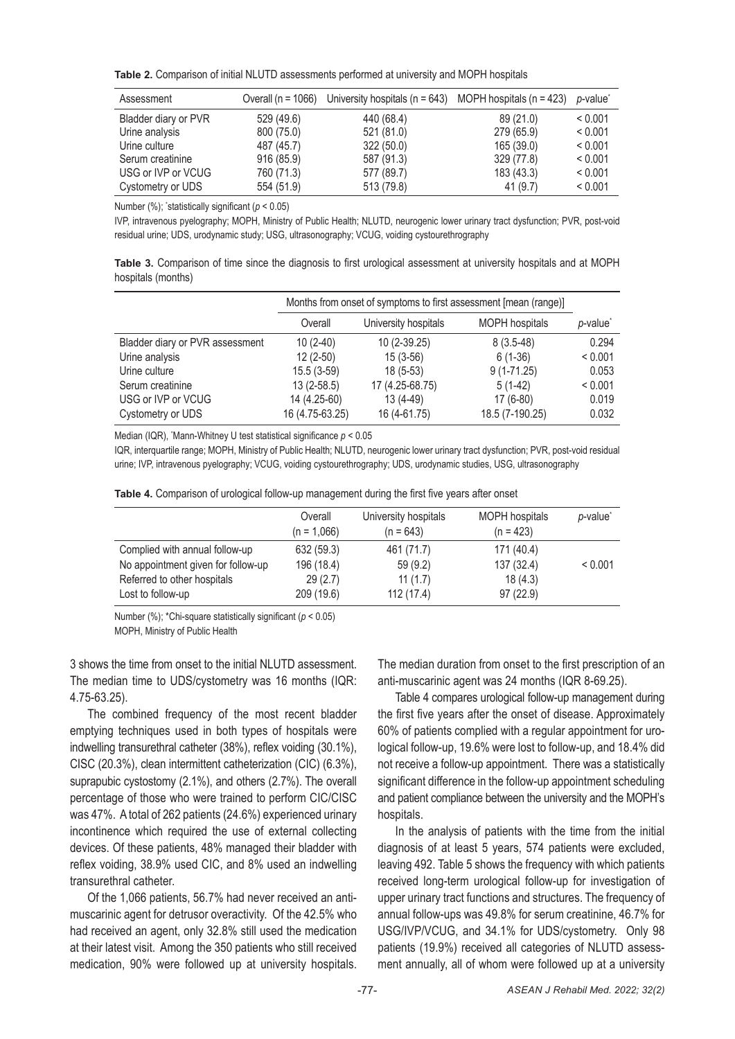**Table 2.** Comparison of initial NLUTD assessments performed at university and MOPH hospitals

| Assessment           | Overall ( $n = 1066$ ) | University hospitals ( $n = 643$ ) | MOPH hospitals $(n = 423)$ | p-value <sup>®</sup> |
|----------------------|------------------------|------------------------------------|----------------------------|----------------------|
| Bladder diary or PVR | 529 (49.6)             | 440 (68.4)                         | 89 (21.0)                  | < 0.001              |
| Urine analysis       | 800 (75.0)             | 521 (81.0)                         | 279 (65.9)                 | < 0.001              |
| Urine culture        | 487 (45.7)             | 322(50.0)                          | 165(39.0)                  | < 0.001              |
| Serum creatinine     | 916 (85.9)             | 587 (91.3)                         | 329 (77.8)                 | < 0.001              |
| USG or IVP or VCUG   | 760 (71.3)             | 577 (89.7)                         | 183 (43.3)                 | < 0.001              |
| Cystometry or UDS    | 554 (51.9)             | 513 (79.8)                         | 41(9.7)                    | < 0.001              |

Number (%); \* statistically significant (*p* < 0.05)

IVP, intravenous pyelography; MOPH, Ministry of Public Health; NLUTD, neurogenic lower urinary tract dysfunction; PVR, post-void residual urine; UDS, urodynamic study; USG, ultrasonography; VCUG, voiding cystourethrography

**Table 3.** Comparison of time since the diagnosis to first urological assessment at university hospitals and at MOPH hospitals (months)

|                                 |                 | Months from onset of symptoms to first assessment [mean (range)] |                       |                      |  |
|---------------------------------|-----------------|------------------------------------------------------------------|-----------------------|----------------------|--|
|                                 | Overall         | University hospitals                                             | <b>MOPH</b> hospitals | p-value <sup>*</sup> |  |
| Bladder diary or PVR assessment | $10(2-40)$      | $10(2-39.25)$                                                    | $8(3.5-48)$           | 0.294                |  |
| Urine analysis                  | $12(2-50)$      | $15(3-56)$                                                       | $6(1-36)$             | < 0.001              |  |
| Urine culture                   | $15.5(3-59)$    | $18(5-53)$                                                       | $9(1-71.25)$          | 0.053                |  |
| Serum creatinine                | $13(2-58.5)$    | 17 (4.25-68.75)                                                  | $5(1-42)$             | < 0.001              |  |
| USG or IVP or VCUG              | 14 (4.25-60)    | 13 (4-49)                                                        | $17(6-80)$            | 0.019                |  |
| Cystometry or UDS               | 16 (4.75-63.25) | 16 (4-61.75)                                                     | 18.5 (7-190.25)       | 0.032                |  |

Median (IQR), \* Mann-Whitney U test statistical significance *p* < 0.05

IQR, interquartile range; MOPH, Ministry of Public Health; NLUTD, neurogenic lower urinary tract dysfunction; PVR, post-void residual urine; IVP, intravenous pyelography; VCUG, voiding cystourethrography; UDS, urodynamic studies, USG, ultrasonography

|  |  |  |  | Table 4. Comparison of urological follow-up management during the first five years after onset |  |  |  |  |
|--|--|--|--|------------------------------------------------------------------------------------------------|--|--|--|--|
|--|--|--|--|------------------------------------------------------------------------------------------------|--|--|--|--|

|                                    | Overall<br>$(n = 1.066)$ | University hospitals<br>$(n = 643)$ | <b>MOPH</b> hospitals<br>$(n = 423)$ | p-value <sup>'</sup> |
|------------------------------------|--------------------------|-------------------------------------|--------------------------------------|----------------------|
| Complied with annual follow-up     | 632 (59.3)               | 461 (71.7)                          | 171 (40.4)                           |                      |
| No appointment given for follow-up | 196 (18.4)               | 59(9.2)                             | 137 (32.4)                           | < 0.001              |
| Referred to other hospitals        | 29(2.7)                  | 11 $(1.7)$                          | 18(4.3)                              |                      |
| Lost to follow-up                  | 209 (19.6)               | 112 (17.4)                          | 97(22.9)                             |                      |

Number (%); \*Chi-square statistically significant (*p* < 0.05) MOPH, Ministry of Public Health

3 shows the time from onset to the initial NLUTD assessment. The median time to UDS/cystometry was 16 months (IQR: 4.75-63.25).

The combined frequency of the most recent bladder emptying techniques used in both types of hospitals were indwelling transurethral catheter (38%), reflex voiding (30.1%), CISC (20.3%), clean intermittent catheterization (CIC) (6.3%), suprapubic cystostomy (2.1%), and others (2.7%). The overall percentage of those who were trained to perform CIC/CISC was 47%. A total of 262 patients (24.6%) experienced urinary incontinence which required the use of external collecting devices. Of these patients, 48% managed their bladder with reflex voiding, 38.9% used CIC, and 8% used an indwelling transurethral catheter.

Of the 1,066 patients, 56.7% had never received an antimuscarinic agent for detrusor overactivity. Of the 42.5% who had received an agent, only 32.8% still used the medication at their latest visit. Among the 350 patients who still received medication, 90% were followed up at university hospitals.

The median duration from onset to the first prescription of an anti-muscarinic agent was 24 months (IQR 8-69.25).

Table 4 compares urological follow-up management during the first five years after the onset of disease. Approximately 60% of patients complied with a regular appointment for urological follow-up, 19.6% were lost to follow-up, and 18.4% did not receive a follow-up appointment. There was a statistically significant difference in the follow-up appointment scheduling and patient compliance between the university and the MOPH's hospitals.

In the analysis of patients with the time from the initial diagnosis of at least 5 years, 574 patients were excluded, leaving 492. Table 5 shows the frequency with which patients received long-term urological follow-up for investigation of upper urinary tract functions and structures. The frequency of annual follow-ups was 49.8% for serum creatinine, 46.7% for USG/IVP/VCUG, and 34.1% for UDS/cystometry. Only 98 patients (19.9%) received all categories of NLUTD assessment annually, all of whom were followed up at a university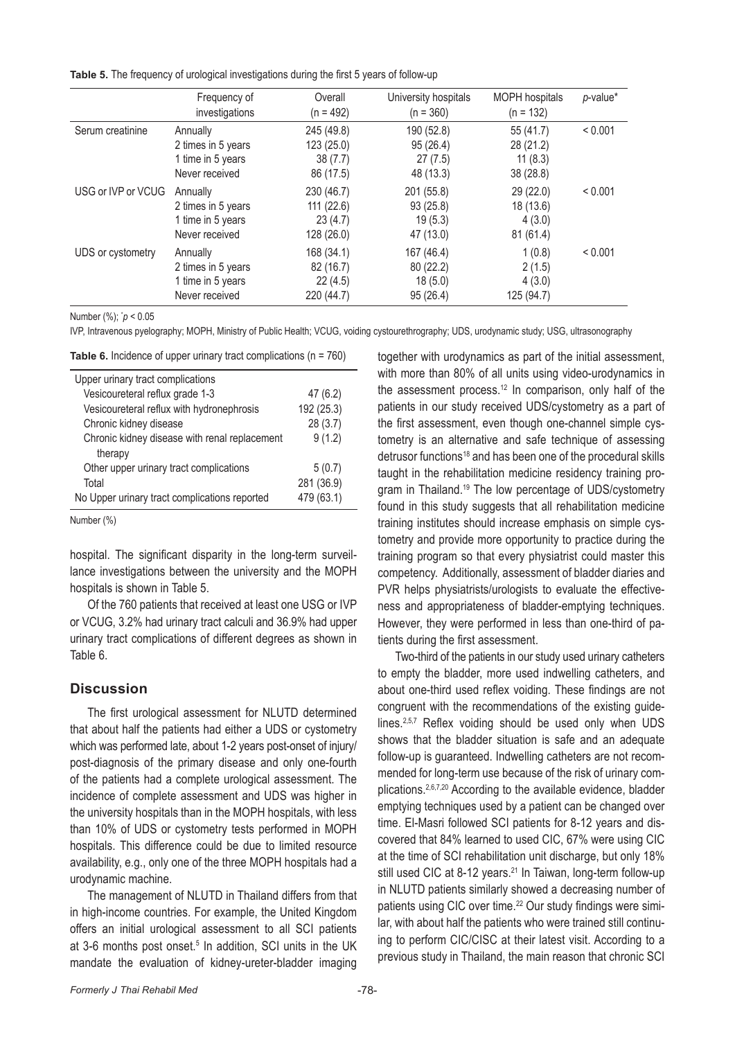**Table 5.** The frequency of urological investigations during the first 5 years of follow-up

|                    | Frequency of<br>investigations                                        | Overall<br>$(n = 492)$                           | University hospitals<br>$(n = 360)$             | <b>MOPH</b> hospitals<br>$(n = 132)$           | $p$ -value*  |
|--------------------|-----------------------------------------------------------------------|--------------------------------------------------|-------------------------------------------------|------------------------------------------------|--------------|
| Serum creatinine   | Annually<br>2 times in 5 years<br>1 time in 5 years<br>Never received | 245 (49.8)<br>123(25.0)<br>38(7.7)<br>86 (17.5)  | 190 (52.8)<br>95(26.4)<br>27(7.5)<br>48 (13.3)  | 55 (41.7)<br>28 (21.2)<br>11(8.3)<br>38 (28.8) | < 0.001      |
| USG or IVP or VCUG | Annually<br>2 times in 5 years<br>1 time in 5 years<br>Never received | 230 (46.7)<br>111(22.6)<br>23(4.7)<br>128 (26.0) | 201 (55.8)<br>93(25.8)<br>19(5.3)<br>47 (13.0)  | 29 (22.0)<br>18 (13.6)<br>4(3.0)<br>81(61.4)   | < 0.001      |
| UDS or cystometry  | Annually<br>2 times in 5 years<br>1 time in 5 years<br>Never received | 168 (34.1)<br>82 (16.7)<br>22(4.5)<br>220 (44.7) | 167 (46.4)<br>80 (22.2)<br>18(5.0)<br>95 (26.4) | 1(0.8)<br>2(1.5)<br>4(3.0)<br>125 (94.7)       | ${}_{0.001}$ |

Number (%); \* *p* < 0.05

IVP, Intravenous pyelography; MOPH, Ministry of Public Health; VCUG, voiding cystourethrography; UDS, urodynamic study; USG, ultrasonography

**Table 6.** Incidence of upper urinary tract complications (n = 760)

| Upper urinary tract complications             |            |
|-----------------------------------------------|------------|
| Vesicoureteral reflux grade 1-3               | 47(6.2)    |
| Vesicoureteral reflux with hydronephrosis     | 192 (25.3) |
| Chronic kidney disease                        | 28(3.7)    |
| Chronic kidney disease with renal replacement | 9(1.2)     |
| therapy                                       |            |
| Other upper urinary tract complications       | 5(0.7)     |
| Total                                         | 281 (36.9) |
| No Upper urinary tract complications reported | 479 (63.1) |

Number (%)

hospital. The significant disparity in the long-term surveillance investigations between the university and the MOPH hospitals is shown in Table 5.

Of the 760 patients that received at least one USG or IVP or VCUG, 3.2% had urinary tract calculi and 36.9% had upper urinary tract complications of different degrees as shown in Table 6.

### **Discussion**

The first urological assessment for NLUTD determined that about half the patients had either a UDS or cystometry which was performed late, about 1-2 years post-onset of injury/ post-diagnosis of the primary disease and only one-fourth of the patients had a complete urological assessment. The incidence of complete assessment and UDS was higher in the university hospitals than in the MOPH hospitals, with less than 10% of UDS or cystometry tests performed in MOPH hospitals. This difference could be due to limited resource availability, e.g., only one of the three MOPH hospitals had a urodynamic machine.

The management of NLUTD in Thailand differs from that in high-income countries. For example, the United Kingdom offers an initial urological assessment to all SCI patients at 3-6 months post onset.<sup>5</sup> In addition, SCI units in the UK mandate the evaluation of kidney-ureter-bladder imaging

together with urodynamics as part of the initial assessment, with more than 80% of all units using video-urodynamics in the assessment process.12 In comparison, only half of the patients in our study received UDS/cystometry as a part of the first assessment, even though one-channel simple cystometry is an alternative and safe technique of assessing detrusor functions18 and has been one of the procedural skills taught in the rehabilitation medicine residency training program in Thailand.<sup>19</sup> The low percentage of UDS/cystometry found in this study suggests that all rehabilitation medicine training institutes should increase emphasis on simple cystometry and provide more opportunity to practice during the training program so that every physiatrist could master this competency. Additionally, assessment of bladder diaries and PVR helps physiatrists/urologists to evaluate the effectiveness and appropriateness of bladder-emptying techniques. However, they were performed in less than one-third of patients during the first assessment.

Two-third of the patients in our study used urinary catheters to empty the bladder, more used indwelling catheters, and about one-third used reflex voiding. These findings are not congruent with the recommendations of the existing guidelines.<sup>2,5,7</sup> Reflex voiding should be used only when UDS shows that the bladder situation is safe and an adequate follow-up is guaranteed. Indwelling catheters are not recommended for long-term use because of the risk of urinary complications.2,6,7,20 According to the available evidence, bladder emptying techniques used by a patient can be changed over time. El-Masri followed SCI patients for 8-12 years and discovered that 84% learned to used CIC, 67% were using CIC at the time of SCI rehabilitation unit discharge, but only 18% still used CIC at 8-12 years.<sup>21</sup> In Taiwan, long-term follow-up in NLUTD patients similarly showed a decreasing number of patients using CIC over time.<sup>22</sup> Our study findings were similar, with about half the patients who were trained still continuing to perform CIC/CISC at their latest visit. According to a previous study in Thailand, the main reason that chronic SCI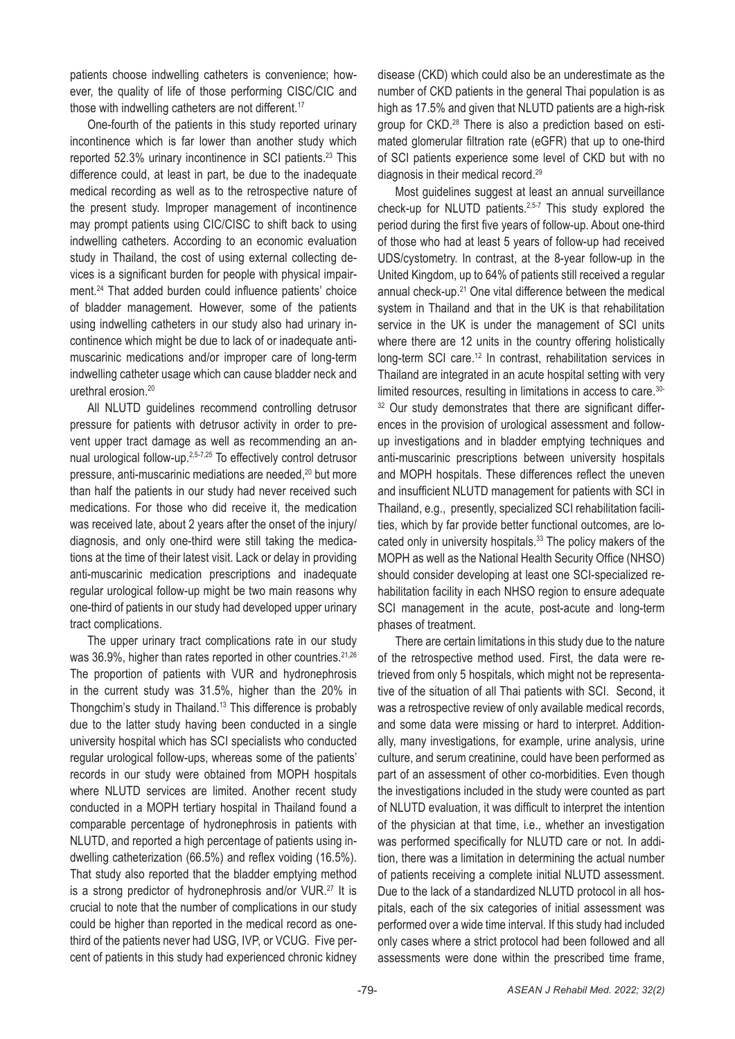patients choose indwelling catheters is convenience; however, the quality of life of those performing CISC/CIC and those with indwelling catheters are not different.<sup>17</sup>

One-fourth of the patients in this study reported urinary incontinence which is far lower than another study which reported 52.3% urinary incontinence in SCI patients.<sup>23</sup> This difference could, at least in part, be due to the inadequate medical recording as well as to the retrospective nature of the present study. Improper management of incontinence may prompt patients using CIC/CISC to shift back to using indwelling catheters. According to an economic evaluation study in Thailand, the cost of using external collecting devices is a significant burden for people with physical impairment.24 That added burden could influence patients' choice of bladder management. However, some of the patients using indwelling catheters in our study also had urinary incontinence which might be due to lack of or inadequate antimuscarinic medications and/or improper care of long-term indwelling catheter usage which can cause bladder neck and urethral erosion.20

All NLUTD guidelines recommend controlling detrusor pressure for patients with detrusor activity in order to prevent upper tract damage as well as recommending an annual urological follow-up.2,5-7,25 To effectively control detrusor pressure, anti-muscarinic mediations are needed,<sup>20</sup> but more than half the patients in our study had never received such medications. For those who did receive it, the medication was received late, about 2 years after the onset of the injury/ diagnosis, and only one-third were still taking the medications at the time of their latest visit. Lack or delay in providing anti-muscarinic medication prescriptions and inadequate regular urological follow-up might be two main reasons why one-third of patients in our study had developed upper urinary tract complications.

The upper urinary tract complications rate in our study was 36.9%, higher than rates reported in other countries.<sup>21,26</sup> The proportion of patients with VUR and hydronephrosis in the current study was 31.5%, higher than the 20% in Thongchim's study in Thailand.13 This difference is probably due to the latter study having been conducted in a single university hospital which has SCI specialists who conducted regular urological follow-ups, whereas some of the patients' records in our study were obtained from MOPH hospitals where NLUTD services are limited. Another recent study conducted in a MOPH tertiary hospital in Thailand found a comparable percentage of hydronephrosis in patients with NLUTD, and reported a high percentage of patients using indwelling catheterization (66.5%) and reflex voiding (16.5%). That study also reported that the bladder emptying method is a strong predictor of hydronephrosis and/or VUR.<sup>27</sup> It is crucial to note that the number of complications in our study could be higher than reported in the medical record as onethird of the patients never had USG, IVP, or VCUG. Five percent of patients in this study had experienced chronic kidney disease (CKD) which could also be an underestimate as the number of CKD patients in the general Thai population is as high as 17.5% and given that NLUTD patients are a high-risk group for CKD.28 There is also a prediction based on estimated glomerular filtration rate (eGFR) that up to one-third of SCI patients experience some level of CKD but with no diagnosis in their medical record.29

Most guidelines suggest at least an annual surveillance check-up for NLUTD patients.<sup>2,5-7</sup> This study explored the period during the first five years of follow-up. About one-third of those who had at least 5 years of follow-up had received UDS/cystometry. In contrast, at the 8-year follow-up in the United Kingdom, up to 64% of patients still received a regular annual check-up.21 One vital difference between the medical system in Thailand and that in the UK is that rehabilitation service in the UK is under the management of SCI units where there are 12 units in the country offering holistically long-term SCI care.12 In contrast, rehabilitation services in Thailand are integrated in an acute hospital setting with very limited resources, resulting in limitations in access to care.30- <sup>32</sup> Our study demonstrates that there are significant differences in the provision of urological assessment and followup investigations and in bladder emptying techniques and anti-muscarinic prescriptions between university hospitals and MOPH hospitals. These differences reflect the uneven and insufficient NLUTD management for patients with SCI in Thailand, e.g., presently, specialized SCI rehabilitation facilities, which by far provide better functional outcomes, are located only in university hospitals.<sup>33</sup> The policy makers of the MOPH as well as the National Health Security Office (NHSO) should consider developing at least one SCI-specialized rehabilitation facility in each NHSO region to ensure adequate SCI management in the acute, post-acute and long-term phases of treatment.

There are certain limitations in this study due to the nature of the retrospective method used. First, the data were retrieved from only 5 hospitals, which might not be representative of the situation of all Thai patients with SCI. Second, it was a retrospective review of only available medical records, and some data were missing or hard to interpret. Additionally, many investigations, for example, urine analysis, urine culture, and serum creatinine, could have been performed as part of an assessment of other co-morbidities. Even though the investigations included in the study were counted as part of NLUTD evaluation, it was difficult to interpret the intention of the physician at that time, i.e., whether an investigation was performed specifically for NLUTD care or not. In addition, there was a limitation in determining the actual number of patients receiving a complete initial NLUTD assessment. Due to the lack of a standardized NLUTD protocol in all hospitals, each of the six categories of initial assessment was performed over a wide time interval. If this study had included only cases where a strict protocol had been followed and all assessments were done within the prescribed time frame,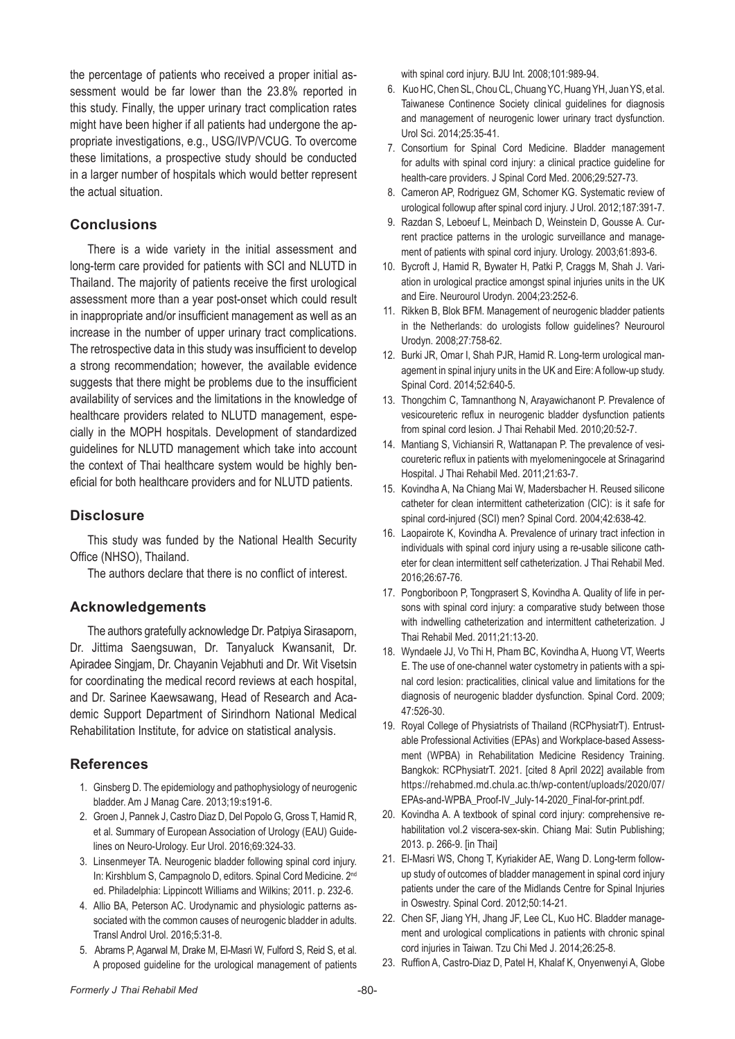the percentage of patients who received a proper initial assessment would be far lower than the 23.8% reported in this study. Finally, the upper urinary tract complication rates might have been higher if all patients had undergone the appropriate investigations, e.g., USG/IVP/VCUG. To overcome these limitations, a prospective study should be conducted in a larger number of hospitals which would better represent the actual situation.

# **Conclusions**

There is a wide variety in the initial assessment and long-term care provided for patients with SCI and NLUTD in Thailand. The majority of patients receive the first urological assessment more than a year post-onset which could result in inappropriate and/or insufficient management as well as an increase in the number of upper urinary tract complications. The retrospective data in this study was insufficient to develop a strong recommendation; however, the available evidence suggests that there might be problems due to the insufficient availability of services and the limitations in the knowledge of healthcare providers related to NLUTD management, especially in the MOPH hospitals. Development of standardized guidelines for NLUTD management which take into account the context of Thai healthcare system would be highly beneficial for both healthcare providers and for NLUTD patients.

# **Disclosure**

This study was funded by the National Health Security Office (NHSO), Thailand.

The authors declare that there is no conflict of interest.

# **Acknowledgements**

The authors gratefully acknowledge Dr. Patpiya Sirasaporn, Dr. Jittima Saengsuwan, Dr. Tanyaluck Kwansanit, Dr. Apiradee Singjam, Dr. Chayanin Vejabhuti and Dr. Wit Visetsin for coordinating the medical record reviews at each hospital, and Dr. Sarinee Kaewsawang, Head of Research and Academic Support Department of Sirindhorn National Medical Rehabilitation Institute, for advice on statistical analysis.

# **References**

- 1. Ginsberg D. The epidemiology and pathophysiology of neurogenic bladder. Am J Manag Care. 2013;19:s191-6.
- 2. Groen J, Pannek J, Castro Diaz D, Del Popolo G, Gross T, Hamid R, et al. Summary of European Association of Urology (EAU) Guidelines on Neuro-Urology. Eur Urol. 2016;69:324-33.
- 3. Linsenmeyer TA. Neurogenic bladder following spinal cord injury. In: Kirshblum S, Campagnolo D, editors. Spinal Cord Medicine. 2nd ed. Philadelphia: Lippincott Williams and Wilkins; 2011. p. 232-6.
- 4. Allio BA, Peterson AC. Urodynamic and physiologic patterns associated with the common causes of neurogenic bladder in adults. Transl Androl Urol. 2016;5:31-8.
- 5. Abrams P, Agarwal M, Drake M, El-Masri W, Fulford S, Reid S, et al. A proposed guideline for the urological management of patients

with spinal cord injury. BJU Int. 2008;101:989-94.

- 6. Kuo HC, Chen SL, Chou CL, Chuang YC, Huang YH, Juan YS, et al. Taiwanese Continence Society clinical guidelines for diagnosis and management of neurogenic lower urinary tract dysfunction. Urol Sci. 2014;25:35-41.
- 7. Consortium for Spinal Cord Medicine. Bladder management for adults with spinal cord injury: a clinical practice guideline for health-care providers. J Spinal Cord Med. 2006;29:527-73.
- 8. Cameron AP, Rodriguez GM, Schomer KG. Systematic review of urological followup after spinal cord injury. J Urol. 2012;187:391-7.
- 9. Razdan S, Leboeuf L, Meinbach D, Weinstein D, Gousse A. Current practice patterns in the urologic surveillance and management of patients with spinal cord injury. Urology. 2003;61:893-6.
- 10. Bycroft J, Hamid R, Bywater H, Patki P, Craggs M, Shah J. Variation in urological practice amongst spinal injuries units in the UK and Eire. Neurourol Urodyn. 2004;23:252-6.
- 11. Rikken B, Blok BFM. Management of neurogenic bladder patients in the Netherlands: do urologists follow quidelines? Neurourol Urodyn. 2008;27:758-62.
- 12. Burki JR, Omar I, Shah PJR, Hamid R. Long-term urological management in spinal injury units in the UK and Eire: A follow-up study. Spinal Cord. 2014;52:640-5.
- 13. Thongchim C, Tamnanthong N, Arayawichanont P. Prevalence of vesicoureteric reflux in neurogenic bladder dysfunction patients from spinal cord lesion. J Thai Rehabil Med. 2010;20:52-7.
- 14. Mantiang S, Vichiansiri R, Wattanapan P. The prevalence of vesicoureteric reflux in patients with myelomeningocele at Srinagarind Hospital. J Thai Rehabil Med. 2011;21:63-7.
- 15. Kovindha A, Na Chiang Mai W, Madersbacher H. Reused silicone catheter for clean intermittent catheterization (CIC): is it safe for spinal cord-injured (SCI) men? Spinal Cord. 2004;42:638-42.
- 16. Laopairote K, Kovindha A. Prevalence of urinary tract infection in individuals with spinal cord injury using a re-usable silicone catheter for clean intermittent self catheterization. J Thai Rehabil Med. 2016;26:67-76.
- 17. Pongboriboon P, Tongprasert S, Kovindha A. Quality of life in persons with spinal cord injury: a comparative study between those with indwelling catheterization and intermittent catheterization. J Thai Rehabil Med. 2011;21:13-20.
- 18. Wyndaele JJ, Vo Thi H, Pham BC, Kovindha A, Huong VT, Weerts E. The use of one-channel water cystometry in patients with a spinal cord lesion: practicalities, clinical value and limitations for the diagnosis of neurogenic bladder dysfunction. Spinal Cord. 2009; 47:526-30.
- 19. Royal College of Physiatrists of Thailand (RCPhysiatrT). Entrustable Professional Activities (EPAs) and Workplace-based Assessment (WPBA) in Rehabilitation Medicine Residency Training. Bangkok: RCPhysiatrT. 2021. [cited 8 April 2022] available from https://rehabmed.md.chula.ac.th/wp-content/uploads/2020/07/ EPAs-and-WPBA\_Proof-IV\_July-14-2020\_Final-for-print.pdf.
- 20. Kovindha A. A textbook of spinal cord injury: comprehensive rehabilitation vol.2 viscera-sex-skin. Chiang Mai: Sutin Publishing; 2013. p. 266-9. [in Thai]
- 21. El-Masri WS, Chong T, Kyriakider AE, Wang D. Long-term followup study of outcomes of bladder management in spinal cord injury patients under the care of the Midlands Centre for Spinal Injuries in Oswestry. Spinal Cord. 2012;50:14-21.
- 22. Chen SF, Jiang YH, Jhang JF, Lee CL, Kuo HC. Bladder management and urological complications in patients with chronic spinal cord injuries in Taiwan. Tzu Chi Med J. 2014;26:25-8.
- 23. Ruffion A, Castro-Diaz D, Patel H, Khalaf K, Onyenwenyi A, Globe